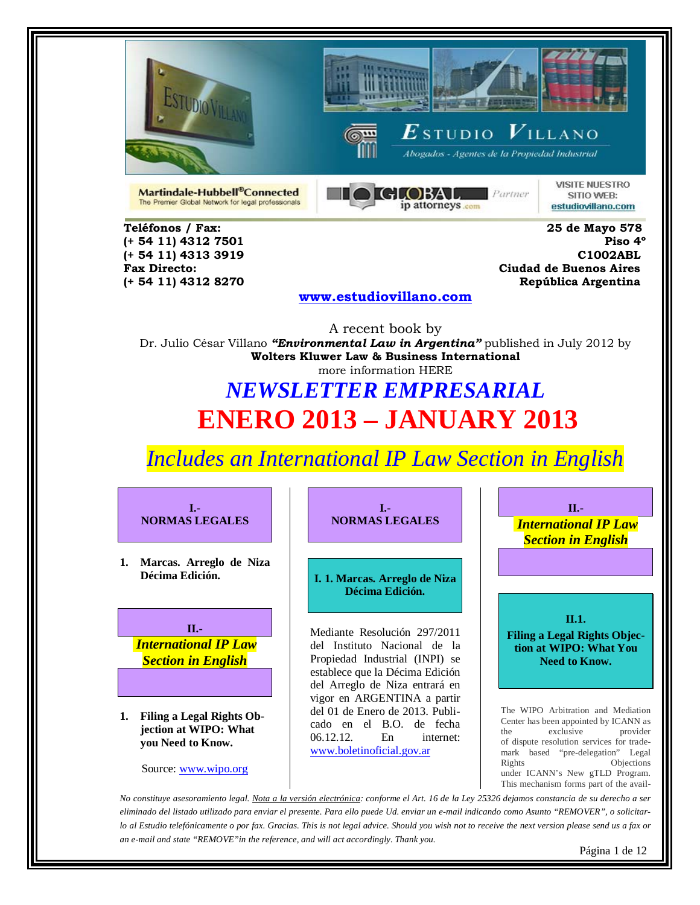





 $\boldsymbol{E}$ studio  $\boldsymbol{V}$ illano Abogados - Agentes de la Propiedad Industrial

Martindale-Hubbell®Connected The Premier Global Network for legal professionals



**VISITE NUESTRO** SITIO WEB: estudiovillano.com

**Teléfonos / Fax: 25 de Mayo 578 (+ 54 11) 4312 7501 (+ 54 11) 4312 8270 República Argentina** 

**(+ 54 11) 4313 3919 C1002ABL Fax Directo: Ciudad de Buenos Aires**

### **[www.estudiovillano.com](http://www.estudiovillano.com/)**

A recent book by Dr. Julio César Villano *"Environmental Law in Argentina"* published in July 2012 by **Wolters Kluwer Law & Business International** more information HERE

## *NEWSLETTER EMPRESARIAL* **ENERO 2013 – JANUARY 2013**

*Includes an International IP Law Section in English* 



*eliminado del listado utilizado para enviar el presente. Para ello puede Ud. enviar un e-mail indicando como Asunto "REMOVER", o solicitarlo al Estudio telefónicamente o por fax. Gracias. This is not legal advice. Should you wish not to receive the next version please send us a fax or an e-mail and state "REMOVE"in the reference, and will act accordingly. Thank you.*

Página 1 de 12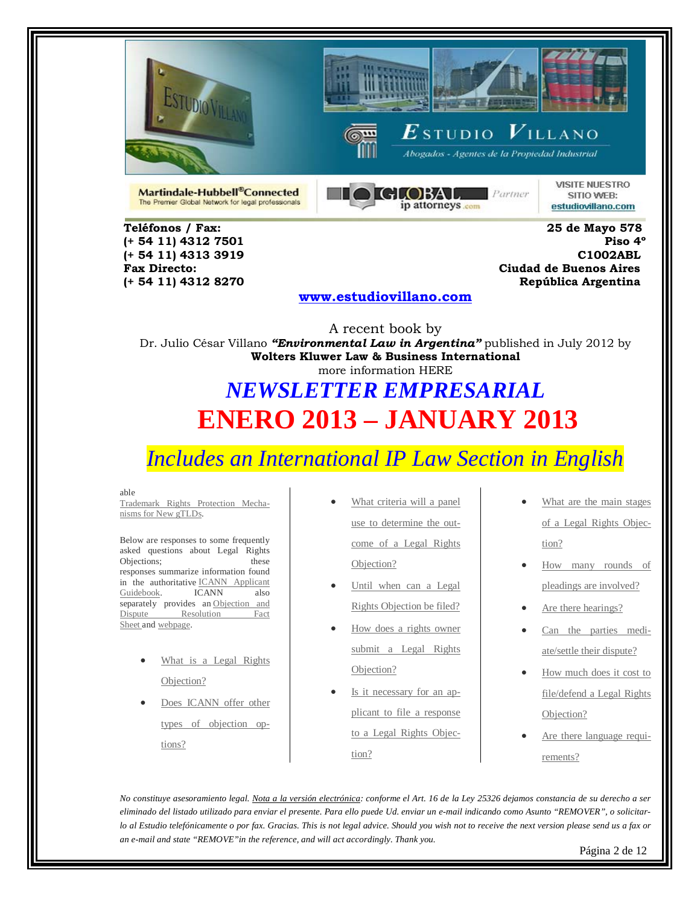





 $\boldsymbol{E}$ studio  $\boldsymbol{V}$ illano Abogados - Agentes de la Propiedad Industrial

Martindale-Hubbell®Connected The Premier Global Network for legal professionals



**VISITE NUESTRO** SITIO WEB: estudiovillano.com

**(+ 54 11) 4312 7501** 

**Teléfonos / Fax: 25 de Mayo 578 (+ 54 11) 4313 3919 C1002ABL Fax Directo: Ciudad de Buenos Aires (+ 54 11) 4312 8270 República Argentina** 

### **[www.estudiovillano.com](http://www.estudiovillano.com/)**

A recent book by Dr. Julio César Villano *"Environmental Law in Argentina"* published in July 2012 by **Wolters Kluwer Law & Business International** more information HERE

# *NEWSLETTER EMPRESARIAL* **ENERO 2013 – JANUARY 2013**

### *Includes an International IP Law Section in English*

#### able

[Trademark Rights Protection Mecha](http://www.wipo.int/amc/en/domains/rpm/)[nisms for New gTLDs.](http://www.wipo.int/amc/en/domains/rpm/)

Below are responses to some frequently asked questions about Legal Rights Objections; these responses summarize information found in the authoritative **ICANN** Applicant<br>Guidebook. **ICANN** also [Guidebook.](http://www.icann.org/en/topics/new-gtlds/objection-procedures-clean-19sep11-en.pdf) ICANN also separately provides an Objection and Dispute Resolution Fact [Sheet](http://www.icann.org/en/topics/new-gtlds/objection-dispute-resolution-fact-sheet-14dec11-en.pdf) and [webpage.](http://newgtlds.icann.org/en/program-status/objection-dispute-resolution)

- What is a Legal Rights [Objection?](http://www.wipo.int/amc/en/domains/lro/#1a)
- Does ICANN offer other [types of objection op](http://www.wipo.int/amc/en/domains/lro/#2a)[tions?](http://www.wipo.int/amc/en/domains/lro/#2a)
- What criteria will a panel [use to determine the out](http://www.wipo.int/amc/en/domains/lro/#3a)[come of a Legal Rights](http://www.wipo.int/amc/en/domains/lro/#3a)  [Objection?](http://www.wipo.int/amc/en/domains/lro/#3a)
- Until when can a Legal [Rights Objection be filed?](http://www.wipo.int/amc/en/domains/lro/#4a)
- [How does a rights owner](http://www.wipo.int/amc/en/domains/lro/#5a)  [submit a Legal Rights](http://www.wipo.int/amc/en/domains/lro/#5a) [Objection?](http://www.wipo.int/amc/en/domains/lro/#5a)
- [Is it necessary for an ap](http://www.wipo.int/amc/en/domains/lro/#6a)[plicant to file a response](http://www.wipo.int/amc/en/domains/lro/#6a)  [to a Legal Rights Objec](http://www.wipo.int/amc/en/domains/lro/#6a)[tion?](http://www.wipo.int/amc/en/domains/lro/#6a)
- What are the main stages of a Legal [Rights Objec](http://www.wipo.int/amc/en/domains/lro/#7a)[tion?](http://www.wipo.int/amc/en/domains/lro/#7a)
- [How many rounds of](http://www.wipo.int/amc/en/domains/lro/#8a)  [pleadings are involved?](http://www.wipo.int/amc/en/domains/lro/#8a)
- [Are there hearings?](http://www.wipo.int/amc/en/domains/lro/#9a)
- [Can the parties medi](http://www.wipo.int/amc/en/domains/lro/#10a)[ate/settle their dispute?](http://www.wipo.int/amc/en/domains/lro/#10a)
- [How much does it cost to](http://www.wipo.int/amc/en/domains/lro/#11a)  [file/defend a Legal Rights](http://www.wipo.int/amc/en/domains/lro/#11a)  [Objection?](http://www.wipo.int/amc/en/domains/lro/#11a)
- [Are there language requi](http://www.wipo.int/amc/en/domains/lro/#12a)[rements?](http://www.wipo.int/amc/en/domains/lro/#12a)

*No constituye asesoramiento legal. Nota a la versión electrónica: conforme el Art. 16 de la Ley 25326 dejamos constancia de su derecho a ser eliminado del listado utilizado para enviar el presente. Para ello puede Ud. enviar un e-mail indicando como Asunto "REMOVER", o solicitarlo al Estudio telefónicamente o por fax. Gracias. This is not legal advice. Should you wish not to receive the next version please send us a fax or an e-mail and state "REMOVE"in the reference, and will act accordingly. Thank you.*

Página 2 de 12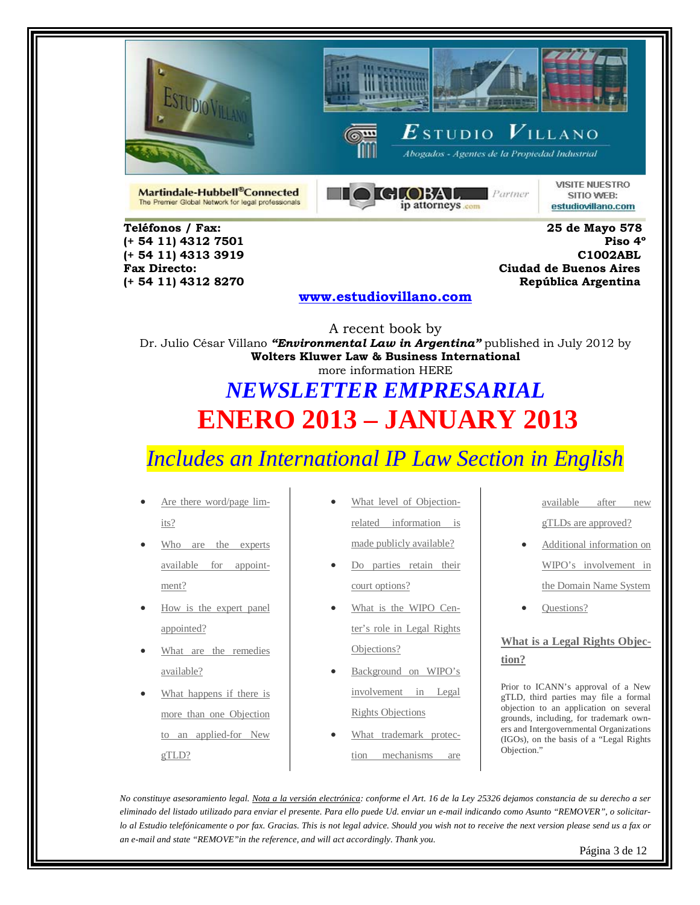





Abogados - Agentes de la Propiedad Industrial

Martindale-Hubbell®Connected The Premier Global Network for legal professionals



**VISITE NUESTRO** SITIO WEB: estudiovillano.com

**Teléfonos / Fax: 25 de Mayo 578 (+ 54 11) 4312 7501** 

**(+ 54 11) 4313 3919 C1002ABL Fax Directo: Ciudad de Buenos Aires (+ 54 11) 4312 8270 República Argentina** 

### **[www.estudiovillano.com](http://www.estudiovillano.com/)**

A recent book by Dr. Julio César Villano *"Environmental Law in Argentina"* published in July 2012 by **Wolters Kluwer Law & Business International** more information HERE

# *NEWSLETTER EMPRESARIAL* **ENERO 2013 – JANUARY 2013**

### *Includes an International IP Law Section in English*

- [Are there word/page lim](http://www.wipo.int/amc/en/domains/lro/#13a)[its?](http://www.wipo.int/amc/en/domains/lro/#13a)
- Who are the experts [available for appoint](http://www.wipo.int/amc/en/domains/lro/#14a)[ment?](http://www.wipo.int/amc/en/domains/lro/#14a)
- How is the expert panel [appointed?](http://www.wipo.int/amc/en/domains/lro/#15a)
- What are the remedies [available?](http://www.wipo.int/amc/en/domains/lro/#16a)
- What happens if there is [more than one Objection](http://www.wipo.int/amc/en/domains/lro/#17a)  [to an applied-for New](http://www.wipo.int/amc/en/domains/lro/#17a)  [gTLD?](http://www.wipo.int/amc/en/domains/lro/#17a)
- [What level of Objection](http://www.wipo.int/amc/en/domains/lro/#18a)[related information is](http://www.wipo.int/amc/en/domains/lro/#18a)  [made publicly available?](http://www.wipo.int/amc/en/domains/lro/#18a)
- Do parties retain their [court options?](http://www.wipo.int/amc/en/domains/lro/#19a)
- [What is the WIPO Cen](http://www.wipo.int/amc/en/domains/lro/#20a)[ter's role in Legal Rights](http://www.wipo.int/amc/en/domains/lro/#20a)  [Objections?](http://www.wipo.int/amc/en/domains/lro/#20a)
- Background on WIPO's [involvement in Legal](http://www.wipo.int/amc/en/domains/lro/#21a)  [Rights Objections](http://www.wipo.int/amc/en/domains/lro/#21a)
- [What trademark protec](http://www.wipo.int/amc/en/domains/lro/#22a)[tion mechanisms are](http://www.wipo.int/amc/en/domains/lro/#22a)

[available after new](http://www.wipo.int/amc/en/domains/lro/#22a)  [gTLDs are approved?](http://www.wipo.int/amc/en/domains/lro/#22a)

- [Additional information on](http://www.wipo.int/amc/en/domains/lro/#23a)  [WIPO's involvement in](http://www.wipo.int/amc/en/domains/lro/#23a)  [the Domain Name System](http://www.wipo.int/amc/en/domains/lro/#23a)
- [Questions?](http://www.wipo.int/amc/en/domains/lro/#24a)

**[What is a Legal Rights Objec](http://www.wipo.int/amc/en/domains/lro/#top)[tion?](http://www.wipo.int/amc/en/domains/lro/#top)**

Prior to ICANN's approval of a New gTLD, third parties may file a formal objection to an application on several grounds, including, for trademark owners and Intergovernmental Organizations (IGOs), on the basis of a "Legal Rights Objection."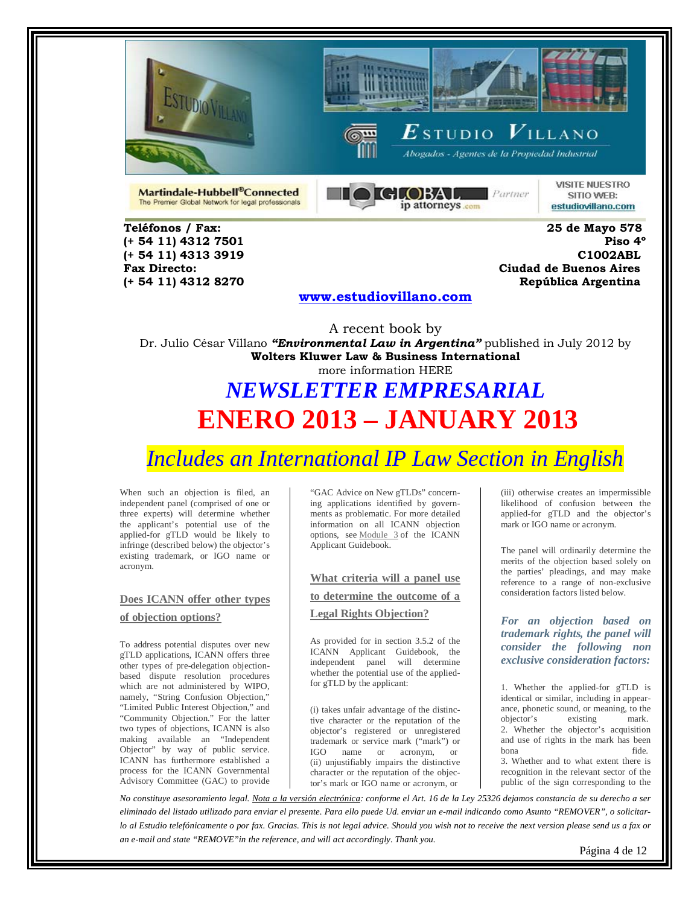





Abogados - Agentes de la Propiedad Industrial

Martindale-Hubbell®Connected The Premier Global Network for legal professionals



**VISITE NUESTRO** SITIO WEB: estudiovillano.com

**Teléfonos / Fax: 25 de Mayo 578 (+ 54 11) 4312 7501** 

**(+ 54 11) 4313 3919 C1002ABL Fax Directo: Ciudad de Buenos Aires (+ 54 11) 4312 8270 República Argentina** 

#### **[www.estudiovillano.com](http://www.estudiovillano.com/)**

A recent book by Dr. Julio César Villano *"Environmental Law in Argentina"* published in July 2012 by **Wolters Kluwer Law & Business International** more information HERE

## *NEWSLETTER EMPRESARIAL* **ENERO 2013 – JANUARY 2013**

### *Includes an International IP Law Section in English*

When such an objection is filed, an independent panel (comprised of one or three experts) will determine whether the applicant's potential use of the applied-for gTLD would be likely to infringe (described below) the objector's existing trademark, or IGO name or acronym.

### **[Does ICANN offer other types](http://www.wipo.int/amc/en/domains/lro/#top)  [of objection options?](http://www.wipo.int/amc/en/domains/lro/#top)**

To address potential disputes over new gTLD applications, ICANN offers three other types of pre-delegation objectionbased dispute resolution procedures which are not administered by WIPO, namely, "String Confusion Objection," "Limited Public Interest Objection," and "Community Objection." For the latter two types of objections, ICANN is also making available an "Independent Objector" by way of public service. ICANN has furthermore established a process for the ICANN Governmental Advisory Committee (GAC) to provide

"GAC Advice on New gTLDs" concerning applications identified by governments as problematic. For more detailed information on all ICANN objection options, see [Module 3](http://newgtlds.icann.org/en/applicants/agb/objection-procedures-11jan12-en.pdf) of the ICANN Applicant Guidebook.

### **[What criteria will a panel use](http://www.wipo.int/amc/en/domains/lro/#top)  to [determine the outcome of a](http://www.wipo.int/amc/en/domains/lro/#top)  [Legal Rights Objection?](http://www.wipo.int/amc/en/domains/lro/#top)**

As provided for in section 3.5.2 of the ICANN Applicant Guidebook, the independent panel will determine whether the potential use of the appliedfor gTLD by the applicant:

(i) takes unfair advantage of the distinctive character or the reputation of the objector's registered or unregistered trademark or service mark ("mark") or IGO name or acronym, or (ii) unjustifiably impairs the distinctive character or the reputation of the objector's mark or IGO name or acronym, or

(iii) otherwise creates an impermissible likelihood of confusion between the applied-for gTLD and the objector's mark or IGO name or acronym.

The panel will ordinarily determine the merits of the objection based solely on the parties' pleadings, and may make reference to a range of non-exclusive consideration factors listed below.

*For an objection based on trademark rights, the panel will consider the following non exclusive consideration factors:*

1. Whether the applied-for gTLD is identical or similar, including in appearance, phonetic sound, or meaning, to the objector's existing mark. 2. Whether the objector's acquisition and use of rights in the mark has been bona fide.

3. Whether and to what extent there is recognition in the relevant sector of the public of the sign corresponding to the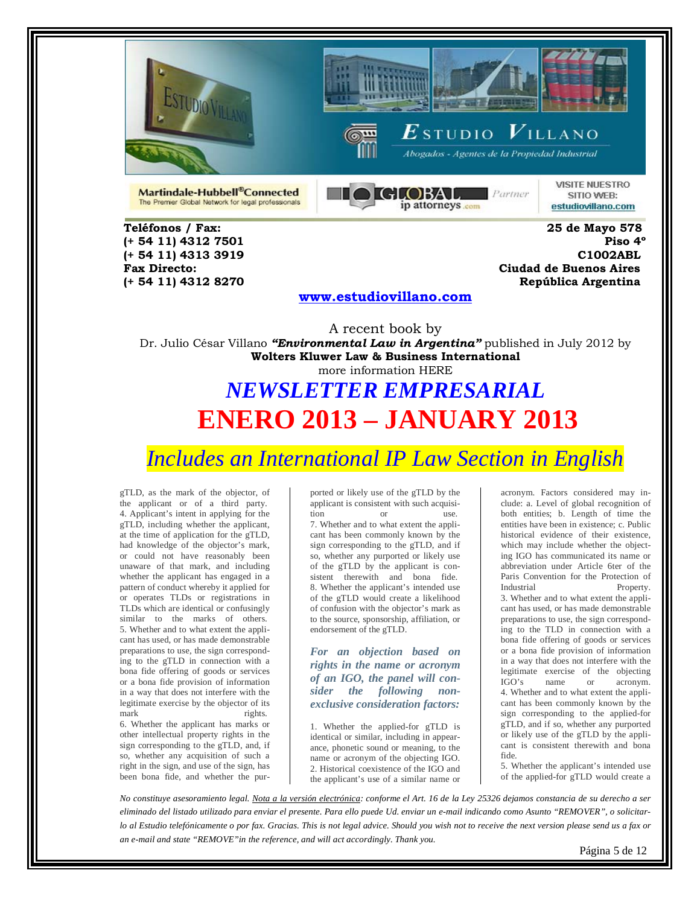





Abogados - Agentes de la Propiedad Industrial

Martindale-Hubbell®Connected The Premier Global Network for legal professionals



**VISITE NUESTRO** SITIO WEB: estudiovillano.com

**Teléfonos / Fax: 25 de Mayo 578 (+ 54 11) 4312 7501** 

**(+ 54 11) 4313 3919 C1002ABL Fax Directo: Ciudad de Buenos Aires (+ 54 11) 4312 8270 República Argentina** 

#### **[www.estudiovillano.com](http://www.estudiovillano.com/)**

A recent book by Dr. Julio César Villano *"Environmental Law in Argentina"* published in July 2012 by **Wolters Kluwer Law & Business International** more information HERE

# *NEWSLETTER EMPRESARIAL* **ENERO 2013 – JANUARY 2013**

*Includes an International IP Law Section in English* 

gTLD, as the mark of the objector, of the applicant or of a third party. 4. Applicant's intent in applying for the gTLD, including whether the applicant, at the time of application for the gTLD, had knowledge of the objector's mark, or could not have reasonably been unaware of that mark, and including whether the applicant has engaged in a pattern of conduct whereby it applied for or operates TLDs or registrations in TLDs which are identical or confusingly similar to the marks of others. 5. Whether and to what extent the applicant has used, or has made demonstrable preparations to use, the sign corresponding to the gTLD in connection with a bona fide offering of goods or services or a bona fide provision of information in a way that does not interfere with the legitimate exercise by the objector of its mark rights.

6. Whether the applicant has marks or other intellectual property rights in the sign corresponding to the gTLD, and, if so, whether any acquisition of such a right in the sign, and use of the sign, has been bona fide, and whether the purported or likely use of the gTLD by the applicant is consistent with such acquisition or use. 7. Whether and to what extent the applicant has been commonly known by the sign corresponding to the gTLD, and if so, whether any purported or likely use of the gTLD by the applicant is consistent therewith and bona fide. 8. Whether the applicant's intended use of the gTLD would create a likelihood of confusion with the objector's mark as to the source, sponsorship, affiliation, or endorsement of the gTLD.

*For an objection based on rights in the name or acronym of an IGO, the panel will consider the following nonexclusive consideration factors:*

1. Whether the applied-for gTLD is identical or similar, including in appearance, phonetic sound or meaning, to the name or acronym of the objecting IGO. 2. Historical coexistence of the IGO and the applicant's use of a similar name or

acronym. Factors considered may include: a. Level of global recognition of both entities; b. Length of time the entities have been in existence; c. Public historical evidence of their existence, which may include whether the objecting IGO has communicated its name or abbreviation under Article 6ter of the Paris Convention for the Protection of Industrial Property. 3. Whether and to what extent the applicant has used, or has made demonstrable preparations to use, the sign corresponding to the TLD in connection with a bona fide offering of goods or services or a bona fide provision of information in a way that does not interfere with the legitimate exercise of the objecting IGO's name or acronym. 4. Whether and to what extent the applicant has been commonly known by the sign corresponding to the applied-for gTLD, and if so, whether any purported or likely use of the gTLD by the applicant is consistent therewith and bona fide.

5. Whether the applicant's intended use of the applied-for gTLD would create a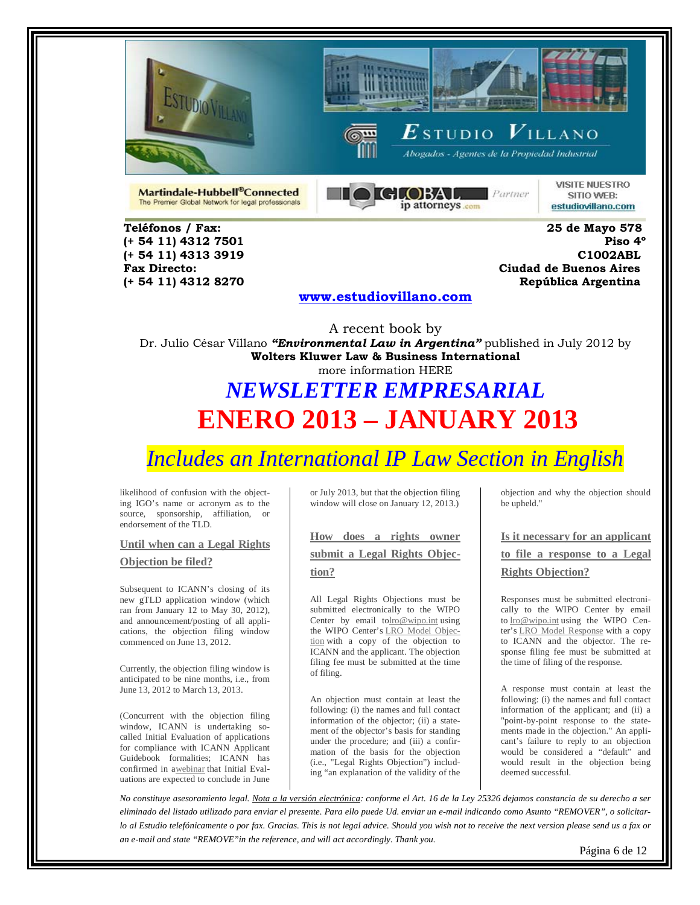





Abogados - Agentes de la Propiedad Industrial

Martindale-Hubbell®Connected The Premier Global Network for legal professionals



**VISITE NUESTRO** SITIO WEB: estudiovillano.com

**Teléfonos / Fax: 25 de Mayo 578 (+ 54 11) 4312 7501** 

**(+ 54 11) 4313 3919 C1002ABL Fax Directo: Ciudad de Buenos Aires (+ 54 11) 4312 8270 República Argentina** 

#### **[www.estudiovillano.com](http://www.estudiovillano.com/)**

A recent book by Dr. Julio César Villano *"Environmental Law in Argentina"* published in July 2012 by **Wolters Kluwer Law & Business International** more information HERE

# *NEWSLETTER EMPRESARIAL* **ENERO 2013 – JANUARY 2013**

# *Includes an International IP Law Section in English*

likelihood of confusion with the objecting IGO's name or acronym as to the source, sponsorship, affiliation, or endorsement of the TLD.

**[Until when can a Legal Rights](http://www.wipo.int/amc/en/domains/lro/#top)** 

#### **[Objection be filed?](http://www.wipo.int/amc/en/domains/lro/#top)**

Subsequent to ICANN's closing of its new gTLD application window (which ran from January 12 to May 30, 2012), and announcement/posting of all applications, the objection filing window commenced on June 13, 2012.

Currently, the objection filing window is anticipated to be nine months, i.e., from June 13, 2012 to March 13, 2013.

(Concurrent with the objection filing window, ICANN is undertaking socalled Initial Evaluation of applications for compliance with ICANN Applicant Guidebook formalities; ICANN has confirmed in [awebinar](http://newgtlds.icann.org/en/applicants/webinar-09aug12-en) that Initial Evaluations are expected to conclude in June or July 2013, but that the objection filing window will close on January 12, 2013.)

### **[How does a rights owner](http://www.wipo.int/amc/en/domains/lro/#top)  [submit a Legal Rights Objec](http://www.wipo.int/amc/en/domains/lro/#top)[tion?](http://www.wipo.int/amc/en/domains/lro/#top)**

All Legal Rights Objections must be submitted electronically to the WIPO Center by email t[olro@wipo.int](mailto:lro@wipo.int) using the WIPO Center's [LRO Model Objec](http://www.wipo.int/export/sites/www/amc/en/docs/objection-lro.doc)[tion](http://www.wipo.int/export/sites/www/amc/en/docs/objection-lro.doc) with a copy of the objection to ICANN and the applicant. The objection filing fee must be submitted at the time of filing.

An objection must contain at least the following: (i) the names and full contact information of the objector; (ii) a statement of the objector's basis for standing under the procedure; and (iii) a confirmation of the basis for the objection (i.e., "Legal Rights Objection") including "an explanation of the validity of the

objection and why the objection should be upheld."

**[Is it necessary for an applicant](http://www.wipo.int/amc/en/domains/lro/#top)  [to file a response to a Legal](http://www.wipo.int/amc/en/domains/lro/#top)** 

#### **[Rights Objection?](http://www.wipo.int/amc/en/domains/lro/#top)**

Responses must be submitted electronically to the WIPO Center by email to [lro@wipo.int](mailto:lro@wipo.int) using the WIPO Center's [LRO Model Response](http://www.wipo.int/export/sites/www/amc/en/docs/response-lro.doc) with a copy to ICANN and the objector. The response filing fee must be submitted at the time of filing of the response.

A response must contain at least the following: (i) the names and full contact information of the applicant; and (ii) a "point-by-point response to the statements made in the objection." An applicant's failure to reply to an objection would be considered a "default" and would result in the objection being deemed successful.

*No constituye asesoramiento legal. Nota a la versión electrónica: conforme el Art. 16 de la Ley 25326 dejamos constancia de su derecho a ser eliminado del listado utilizado para enviar el presente. Para ello puede Ud. enviar un e-mail indicando como Asunto "REMOVER", o solicitarlo al Estudio telefónicamente o por fax. Gracias. This is not legal advice. Should you wish not to receive the next version please send us a fax or an e-mail and state "REMOVE"in the reference, and will act accordingly. Thank you.*

Página 6 de 12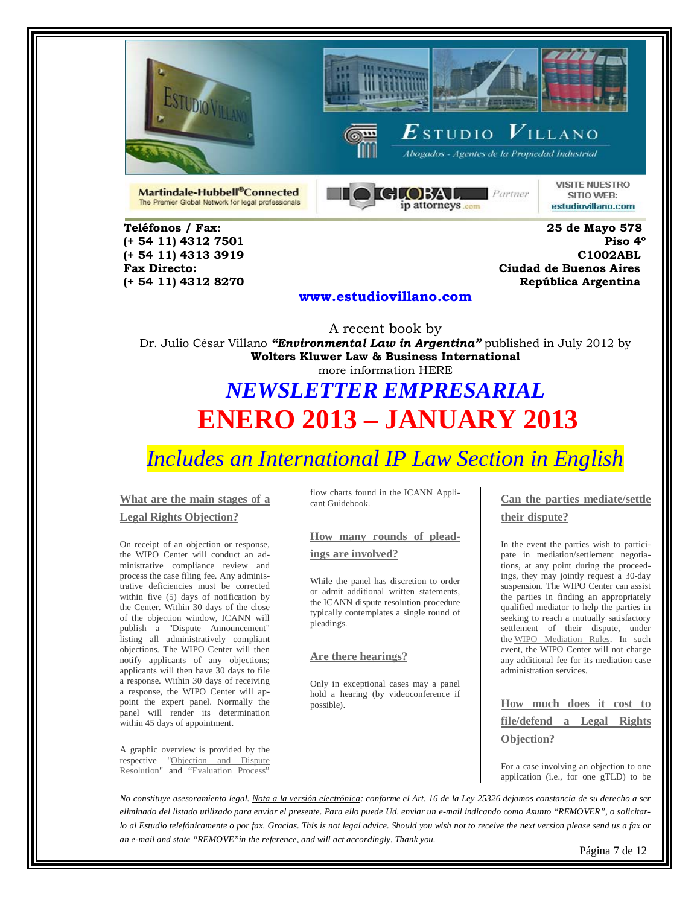





Abogados - Agentes de la Propiedad Industrial

Martindale-Hubbell®Connected The Premier Global Network for legal professionals



**VISITE NUESTRO** SITIO WEB: estudiovillano.com

**Teléfonos / Fax: 25 de Mayo 578 (+ 54 11) 4312 7501** 

**(+ 54 11) 4313 3919 C1002ABL Fax Directo: Ciudad de Buenos Aires (+ 54 11) 4312 8270 República Argentina** 

### **[www.estudiovillano.com](http://www.estudiovillano.com/)**

A recent book by Dr. Julio César Villano *"Environmental Law in Argentina"* published in July 2012 by **Wolters Kluwer Law & Business International** more information HERE

# *NEWSLETTER EMPRESARIAL* **ENERO 2013 – JANUARY 2013**

### *Includes an International IP Law Section in English*

#### **[What are the main stages of a](http://www.wipo.int/amc/en/domains/lro/#top)**

#### **[Legal Rights Objection?](http://www.wipo.int/amc/en/domains/lro/#top)**

On receipt of an objection or response, the WIPO Center will conduct an administrative compliance review and process the case filing fee. Any administrative deficiencies must be corrected within five (5) days of notification by the Center. Within 30 days of the close of the objection window, ICANN will publish a "Dispute Announcement" listing all administratively compliant objections. The WIPO Center will then notify applicants of any objections; applicants will then have 30 days to file a response. Within 30 days of receiving a response, the WIPO Center will appoint the expert panel. Normally the panel will render its determination within 45 days of appointment.

A graphic overview is provided by the respective "Objection and Dispute [Resolution"](http://www.wipo.int/export/sites/www/amc/en/docs/icannobjectionflowchart.pdf) and ["Evaluation Process"](http://www.wipo.int/export/sites/www/amc/en/docs/icannevaluationprocess.pdf) flow charts found in the ICANN Applicant Guidebook.

#### **[How many rounds of plead-](http://www.wipo.int/amc/en/domains/lro/#top)**

#### **[ings are involved?](http://www.wipo.int/amc/en/domains/lro/#top)**

While the panel has discretion to order or admit additional written statements, the ICANN dispute resolution procedure typically contemplates a single round of pleadings.

#### **[Are there hearings?](http://www.wipo.int/amc/en/domains/lro/#top)**

Only in exceptional cases may a panel hold a hearing (by videoconference if possible).

**[Can the parties mediate/settle](http://www.wipo.int/amc/en/domains/lro/#top)  [their dispute?](http://www.wipo.int/amc/en/domains/lro/#top)**

In the event the parties wish to participate in mediation/settlement negotiations, at any point during the proceedings, they may jointly request a 30-day suspension. The WIPO Center can assist the parties in finding an appropriately qualified mediator to help the parties in seeking to reach a mutually satisfactory settlement of their dispute, under the [WIPO Mediation Rules.](http://www.wipo.int/amc/en/mediation/rules/) In such event, the WIPO Center will not charge any additional fee for its mediation case administration services.

**[How much does it cost to](http://www.wipo.int/amc/en/domains/lro/#top)  [file/defend a Legal Rights](http://www.wipo.int/amc/en/domains/lro/#top)  [Objection?](http://www.wipo.int/amc/en/domains/lro/#top)**

For a case involving an objection to one application (i.e., for one gTLD) to be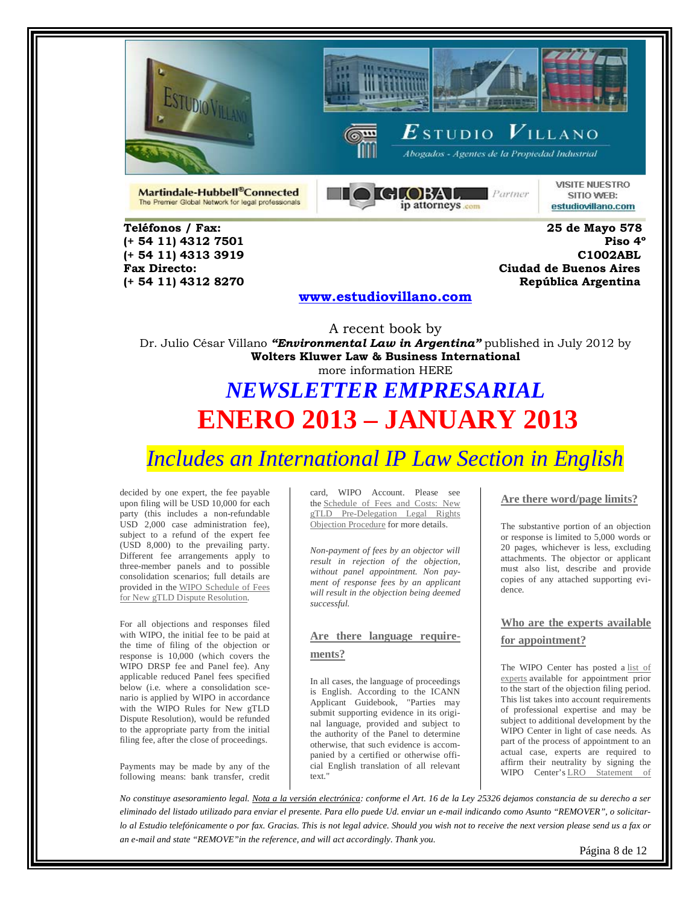





Abogados - Agentes de la Propiedad Industrial

Martindale-Hubbell®Connected The Premier Global Network for legal professionals



**VISITE NUESTRO** SITIO WEB: estudiovillano.com

**Teléfonos / Fax: 25 de Mayo 578 (+ 54 11) 4312 7501** 

**(+ 54 11) 4313 3919 C1002ABL Fax Directo: Ciudad de Buenos Aires (+ 54 11) 4312 8270 República Argentina** 

#### **[www.estudiovillano.com](http://www.estudiovillano.com/)**

A recent book by Dr. Julio César Villano *"Environmental Law in Argentina"* published in July 2012 by **Wolters Kluwer Law & Business International** more information HERE

# *NEWSLETTER EMPRESARIAL* **ENERO 2013 – JANUARY 2013**

*Includes an International IP Law Section in English* 

decided by one expert, the fee payable upon filing will be USD 10,000 for each party (this includes a non-refundable USD 2,000 case administration fee), subject to a refund of the expert fee (USD 8,000) to the prevailing party. Different fee arrangements apply to three-member panels and to possible consolidation scenarios; full details are provided in the [WIPO Schedule of Fees](http://www.wipo.int/amc/en/domains/lro/fees/)  [for New gTLD Dispute Resolution.](http://www.wipo.int/amc/en/domains/lro/fees/)

For all objections and responses filed with WIPO, the initial fee to be paid at the time of filing of the objection or response is 10,000 (which covers the WIPO DRSP fee and Panel fee). Any applicable reduced Panel fees specified below (i.e. where a consolidation scenario is applied by WIPO in accordance with the WIPO Rules for New gTLD Dispute Resolution), would be refunded to the appropriate party from the initial filing fee, after the close of proceedings.

Payments may be made by any of the following means: bank transfer, credit card, WIPO Account. Please see the [Schedule of Fees and Costs: New](http://www.wipo.int/amc/en/domains/lro/fees/)  [gTLD Pre-Delegation Legal Rights](http://www.wipo.int/amc/en/domains/lro/fees/)  [Objection Procedure](http://www.wipo.int/amc/en/domains/lro/fees/) for more details.

*Non-payment of fees by an objector will result in rejection of the objection, without panel appointment. Non payment of response fees by an applicant will result in the objection being deemed successful.*

### **[Are there language require](http://www.wipo.int/amc/en/domains/lro/#top)[ments?](http://www.wipo.int/amc/en/domains/lro/#top)**

In all cases, the language of proceedings is English. According to the ICANN Applicant Guidebook, "Parties may submit supporting evidence in its original language, provided and subject to the authority of the Panel to determine otherwise, that such evidence is accompanied by a certified or otherwise official English translation of all relevant text."

#### **[Are there word/page limits?](http://www.wipo.int/amc/en/domains/lro/#top)**

The substantive portion of an objection or response is limited to 5,000 words or 20 pages, whichever is less, excluding attachments. The objector or applicant must also list, describe and provide copies of any attached supporting evidence.

**[Who are the experts available](http://www.wipo.int/amc/en/domains/lro/#top)  [for appointment?](http://www.wipo.int/amc/en/domains/lro/#top)**

The WIPO Center has posted a [list of](http://www.wipo.int/amc/en/domains/panel/lrodrp.jsp)  [experts](http://www.wipo.int/amc/en/domains/panel/lrodrp.jsp) available for appointment prior to the start of the objection filing period. This list takes into account requirements of professional expertise and may be subject to additional development by the WIPO Center in light of case needs. As part of the process of appointment to an actual case, experts are required to affirm their neutrality by signing the WIPO Center's [LRO Statement of](http://www.wipo.int/export/sites/www/amc/en/docs/declaration-lro.doc) 

*No constituye asesoramiento legal. Nota a la versión electrónica: conforme el Art. 16 de la Ley 25326 dejamos constancia de su derecho a ser eliminado del listado utilizado para enviar el presente. Para ello puede Ud. enviar un e-mail indicando como Asunto "REMOVER", o solicitarlo al Estudio telefónicamente o por fax. Gracias. This is not legal advice. Should you wish not to receive the next version please send us a fax or an e-mail and state "REMOVE"in the reference, and will act accordingly. Thank you.*

Página 8 de 12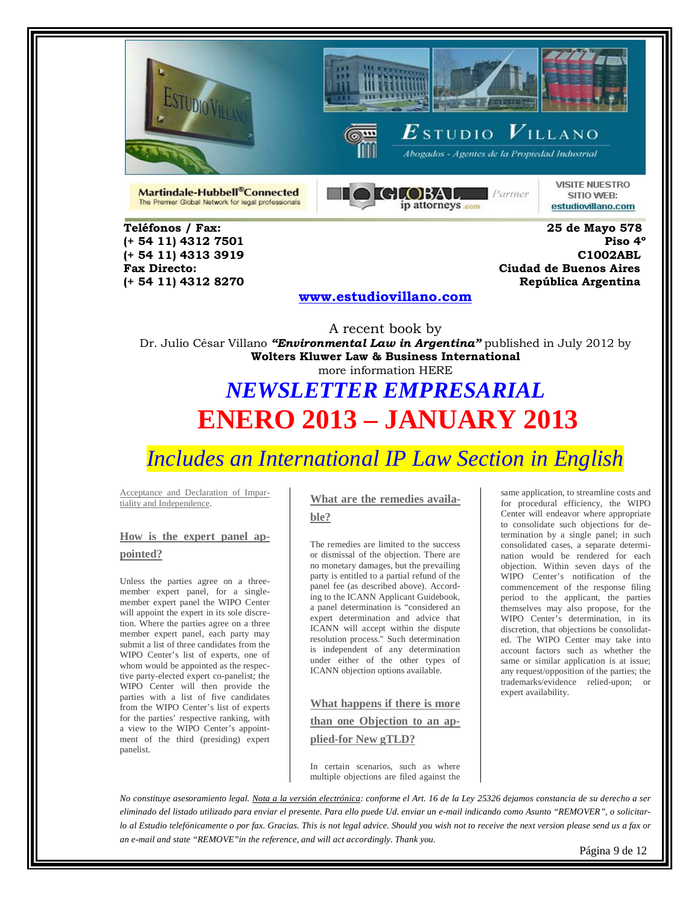





Abogados - Agentes de la Propiedad Industrial

Martindale-Hubbell®Connected The Premier Global Network for legal professionals



**VISITE NUESTRO** SITIO WEB: estudiovillano.com

**Teléfonos / Fax: 25 de Mayo 578 (+ 54 11) 4312 7501** 

**(+ 54 11) 4313 3919 C1002ABL Fax Directo: Ciudad de Buenos Aires (+ 54 11) 4312 8270 República Argentina** 

#### **[www.estudiovillano.com](http://www.estudiovillano.com/)**

A recent book by Dr. Julio César Villano *"Environmental Law in Argentina"* published in July 2012 by **Wolters Kluwer Law & Business International** more information HERE

## *NEWSLETTER EMPRESARIAL* **ENERO 2013 – JANUARY 2013**

### *Includes an International IP Law Section in English*

Acceptance and Declaration of Impartiality and Independence.

### **[How is the expert panel ap](http://www.wipo.int/amc/en/domains/lro/#top)[pointed?](http://www.wipo.int/amc/en/domains/lro/#top)**

Unless the parties agree on a threemember expert panel, for a singlemember expert panel the WIPO Center will appoint the expert in its sole discretion. Where the parties agree on a three member expert panel, each party may submit a list of three candidates from the WIPO Center's list of experts, one of whom would be appointed as the respective party-elected expert co-panelist; the WIPO Center will then provide the parties with a list of five candidates from the WIPO Center's list of experts for the parties' respective ranking, with a view to the WIPO Center's appointment of the third (presiding) expert panelist.

### **[What are the remedies availa-](http://www.wipo.int/amc/en/domains/lro/#top)**

**[ble?](http://www.wipo.int/amc/en/domains/lro/#top)**

The remedies are limited to the success or dismissal of the objection. There are no monetary damages, but the prevailing party is entitled to a partial refund of the panel fee (as described above). According to the ICANN Applicant Guidebook, a panel determination is "considered an expert determination and advice that ICANN will accept within the dispute resolution process." Such determination is independent of any determination under either of the other types of ICANN objection options available.

### **[What happens if there is more](http://www.wipo.int/amc/en/domains/lro/#top)**

**[than one Objection to an ap-](http://www.wipo.int/amc/en/domains/lro/#top)**

#### **[plied-for New gTLD?](http://www.wipo.int/amc/en/domains/lro/#top)**

In certain scenarios, such as where multiple objections are filed against the

objection. Within seven days of the WIPO Center's notification of the commencement of the response filing period to the applicant, the parties themselves may also propose, for the WIPO Center's determination, in its discretion, that objections be consolidated. The WIPO Center may take into account factors such as whether the same or similar application is at issue; any request/opposition of the parties; the trademarks/evidence relied-upon; or expert availability.

same application, to streamline costs and for procedural efficiency, the WIPO Center will endeavor where appropriate to consolidate such objections for determination by a single panel; in such consolidated cases, a separate determination would be rendered for each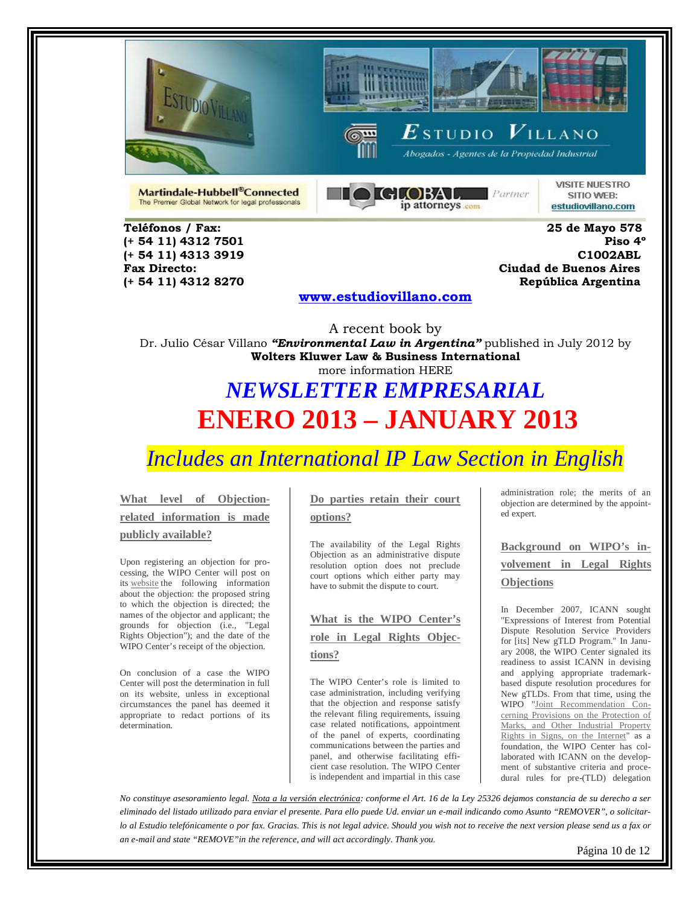





 $\boldsymbol{E}$ studio  $\boldsymbol{V}$ illano Abogados - Agentes de la Propiedad Industrial

Martindale-Hubbell®Connected The Premier Global Network for legal professionals



**VISITE NUESTRO** SITIO WEB: estudiovillano.com

**(+ 54 11) 4312 7501** 

**Teléfonos / Fax: 25 de Mayo 578 (+ 54 11) 4313 3919 C1002ABL Fax Directo: Ciudad de Buenos Aires (+ 54 11) 4312 8270 República Argentina** 

#### **[www.estudiovillano.com](http://www.estudiovillano.com/)**

A recent book by Dr. Julio César Villano *"Environmental Law in Argentina"* published in July 2012 by **Wolters Kluwer Law & Business International** more information HERE

# *NEWSLETTER EMPRESARIAL* **ENERO 2013 – JANUARY 2013**

## *Includes an International IP Law Section in English*

**[What level of Objection](http://www.wipo.int/amc/en/domains/lro/#top)[related information is made](http://www.wipo.int/amc/en/domains/lro/#top)  [publicly available?](http://www.wipo.int/amc/en/domains/lro/#top)**

Upon registering an objection for processing, the WIPO Center will post on its [website](http://www.wipo.int/amc/en/domains/lro/cases/) the following information about the objection: the proposed string to which the objection is directed; the names of the objector and applicant; the grounds for objection (i.e., "Legal Rights Objection"); and the date of the WIPO Center's receipt of the objection.

On conclusion of a case the WIPO Center will post the determination in full on its website, unless in exceptional circumstances the panel has deemed it appropriate to redact portions of its determination.

### **[Do parties retain their court](http://www.wipo.int/amc/en/domains/lro/#top)  [options?](http://www.wipo.int/amc/en/domains/lro/#top)**

The availability of the Legal Rights Objection as an administrative dispute resolution option does not preclude court options which either party may have to submit the dispute to court.

**[What is the WIPO Center's](http://www.wipo.int/amc/en/domains/lro/#top)  [role in Legal Rights Objec](http://www.wipo.int/amc/en/domains/lro/#top)[tions?](http://www.wipo.int/amc/en/domains/lro/#top)**

The WIPO Center's role is limited to case administration, including verifying that the objection and response satisfy the relevant filing requirements, issuing case related notifications, appointment of the panel of experts, coordinating communications between the parties and panel, and otherwise facilitating efficient case resolution. The WIPO Center is independent and impartial in this case

administration role; the merits of an objection are determined by the appointed expert.

**[Background on WIPO's in](http://www.wipo.int/amc/en/domains/lro/#top)[volvement in Legal Rights](http://www.wipo.int/amc/en/domains/lro/#top)  [Objections](http://www.wipo.int/amc/en/domains/lro/#top)**

In December 2007, ICANN sought "Expressions of Interest from Potential Dispute Resolution Service Providers for [its] New gTLD Program." In January 2008, the WIPO Center signaled its readiness to assist ICANN in devising and applying appropriate trademarkbased dispute resolution procedures for New gTLDs. From that time, using the WIPO ["Joint Recommendation Con](http://www.wipo.int/about-ip/en/development_iplaw/pdf/pub845.pdf)[cerning Provisions on the Protection of](http://www.wipo.int/about-ip/en/development_iplaw/pdf/pub845.pdf)  [Marks, and Other Industrial Property](http://www.wipo.int/about-ip/en/development_iplaw/pdf/pub845.pdf)  [Rights in Signs, on the Internet"](http://www.wipo.int/about-ip/en/development_iplaw/pdf/pub845.pdf) as a foundation, the WIPO Center has collaborated with ICANN on the development of substantive criteria and procedural rules for pre-(TLD) delegation

*No constituye asesoramiento legal. Nota a la versión electrónica: conforme el Art. 16 de la Ley 25326 dejamos constancia de su derecho a ser eliminado del listado utilizado para enviar el presente. Para ello puede Ud. enviar un e-mail indicando como Asunto "REMOVER", o solicitarlo al Estudio telefónicamente o por fax. Gracias. This is not legal advice. Should you wish not to receive the next version please send us a fax or an e-mail and state "REMOVE"in the reference, and will act accordingly. Thank you.*

Página 10 de 12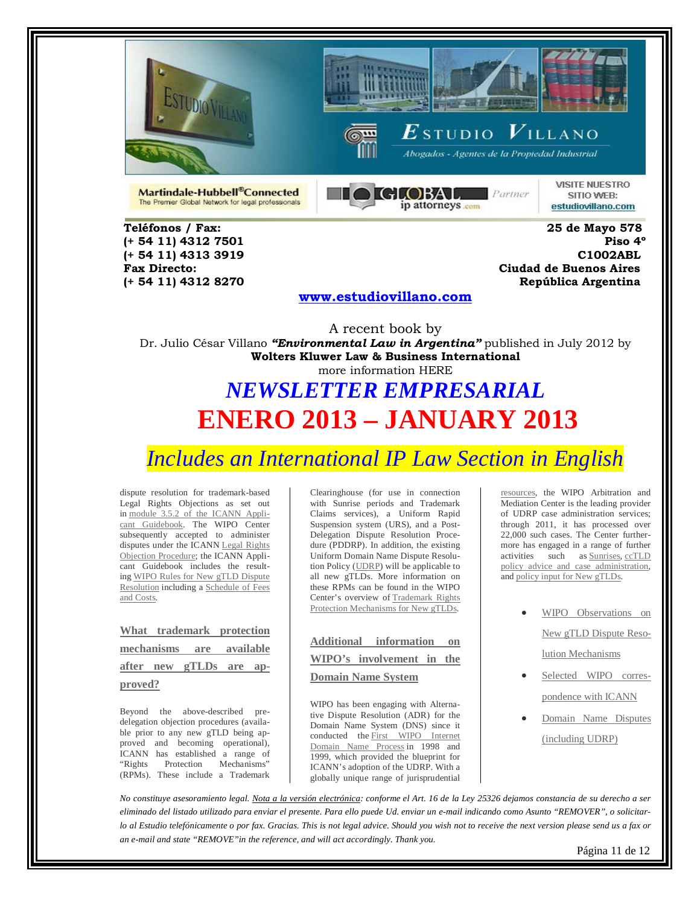





Abogados - Agentes de la Propiedad Industrial

Martindale-Hubbell®Connected The Premier Global Network for legal professionals



**VISITE NUESTRO** SITIO WEB: estudiovillano.com

**Teléfonos / Fax: 25 de Mayo 578 (+ 54 11) 4312 7501** 

**(+ 54 11) 4313 3919 C1002ABL Fax Directo: Ciudad de Buenos Aires (+ 54 11) 4312 8270 República Argentina** 

#### **[www.estudiovillano.com](http://www.estudiovillano.com/)**

A recent book by Dr. Julio César Villano *"Environmental Law in Argentina"* published in July 2012 by **Wolters Kluwer Law & Business International** more information HERE

# *NEWSLETTER EMPRESARIAL* **ENERO 2013 – JANUARY 2013**

*Includes an International IP Law Section in English* 

dispute resolution for trademark-based Legal Rights Objections as set out in [module 3.5.2 of the ICANN Appli](http://www.icann.org/en/topics/new-gtlds/objection-procedures-clean-19sep11-en.pdf)[cant Guidebook.](http://www.icann.org/en/topics/new-gtlds/objection-procedures-clean-19sep11-en.pdf) The WIPO Center subsequently accepted to administer disputes under the ICANN [Legal Rights](http://www.icann.org/en/topics/new-gtlds/new-gtld-drp-clean-19sep11-en.pdf)  [Objection Procedure;](http://www.icann.org/en/topics/new-gtlds/new-gtld-drp-clean-19sep11-en.pdf) the ICANN Applicant Guidebook includes the resulting [WIPO Rules for New gTLD Dispute](http://www.icann.org/en/topics/new-gtlds/wipo-rules-clean-19sep11-en.pdf)  [Resolution](http://www.icann.org/en/topics/new-gtlds/wipo-rules-clean-19sep11-en.pdf) including a [Schedule](http://www.icann.org/en/topics/new-gtlds/wipo-fees-clean-19sep11-en.pdf) of Fees [and Costs.](http://www.icann.org/en/topics/new-gtlds/wipo-fees-clean-19sep11-en.pdf)

|         | What trademark protection |                          |  |  |  |
|---------|---------------------------|--------------------------|--|--|--|
|         |                           | mechanisms are available |  |  |  |
|         |                           | after new gTLDs are ap-  |  |  |  |
| proved? |                           |                          |  |  |  |

Beyond the above-described predelegation objection procedures (available prior to any new gTLD being approved and becoming operational), ICANN has established a range of "Rights Protection Mechanisms" (RPMs). These include a Trademark

Clearinghouse (for use in connection with Sunrise periods and Trademark Claims services), a Uniform Rapid Suspension system (URS), and a Post-Delegation Dispute Resolution Procedure (PDDRP). In addition, the existing Uniform Domain Name Dispute Resolution Policy [\(UDRP\)](http://www.icann.org/en/udrp/udrp.htm) will be applicable to all new gTLDs. More information on these RPMs can be found in the WIPO Center's overview of [Trademark Rights](http://www.wipo.int/amc/en/domains/rpm/)  [Protection Mechanisms for New gTLDs.](http://www.wipo.int/amc/en/domains/rpm/)

| Additional information on |  |  |  |  |  |
|---------------------------|--|--|--|--|--|
| WIPO's involvement in the |  |  |  |  |  |
| <b>Domain Name System</b> |  |  |  |  |  |
|                           |  |  |  |  |  |

WIPO has been engaging with Alternative Dispute Resolution (ADR) for the Domain Name System (DNS) since it conducted the [First WIPO](http://www.wipo.int/amc/en/processes/process1/) Internet [Domain Name Process](http://www.wipo.int/amc/en/processes/process1/) in 1998 and 1999, which provided the blueprint for ICANN's adoption of the UDRP. With a globally unique range of jurisprudential

[resources,](http://www.wipo.int/amc/en/domains/resources/) the WIPO Arbitration and Mediation Center is the leading provider of UDRP case administration services; through 2011, it has processed over 22,000 such cases. The Center furthermore has engaged in a range of further activities such as [Sunrises,](http://www.wipo.int/amc/en/domains/reports/) [ccTLD](http://www.wipo.int/amc/en/domains/cctld/)  [policy advice and case administration,](http://www.wipo.int/amc/en/domains/cctld/)  and [policy input for New gTLDs.](http://www.wipo.int/amc/en/domains/newgtld/)

- WIPO Observations on [New gTLD Dispute Reso](http://www.wipo.int/amc/en/domains/newgtld/)[lution Mechanisms](http://www.wipo.int/amc/en/domains/newgtld/)
- [Selected WIPO corres](http://www.wipo.int/amc/en/domains/resources/icann/)[pondence with ICANN](http://www.wipo.int/amc/en/domains/resources/icann/)
- [Domain Name Disputes](http://www.wipo.int/amc/en/domains/)  [\(including UDRP\)](http://www.wipo.int/amc/en/domains/)